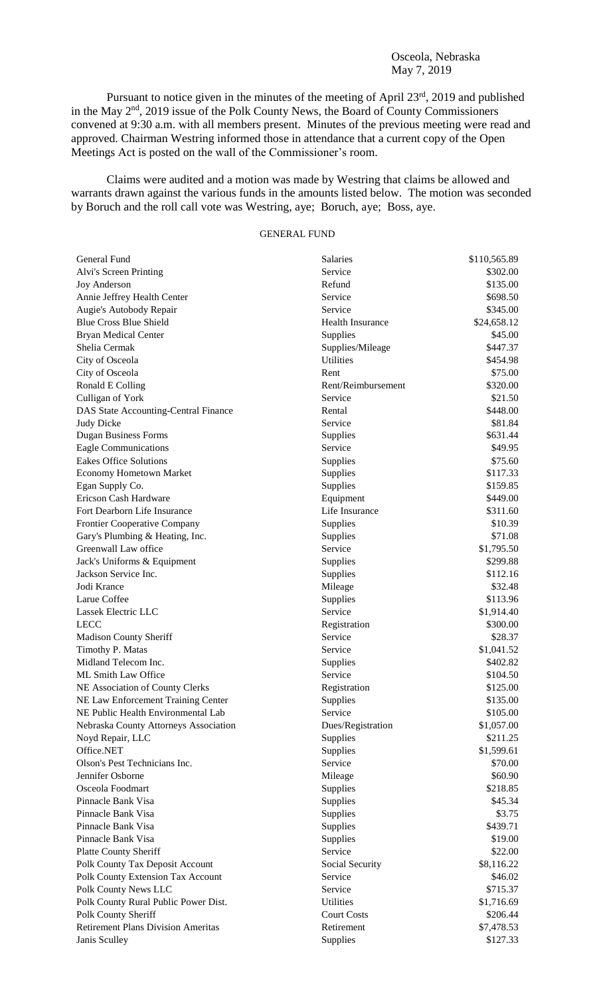## Osceola, Nebraska May 7, 2019

Pursuant to notice given in the minutes of the meeting of April 23<sup>rd</sup>, 2019 and published in the May 2<sup>nd</sup>, 2019 issue of the Polk County News, the Board of County Commissioners convened at 9:30 a.m. with all members present. Minutes of the previous meeting were read and approved. Chairman Westring informed those in attendance that a current copy of the Open Meetings Act is posted on the wall of the Commissioner's room.

Claims were audited and a motion was made by Westring that claims be allowed and warrants drawn against the various funds in the amounts listed below. The motion was seconded by Boruch and the roll call vote was Westring, aye; Boruch, aye; Boss, aye.

# GENERAL FUND

| General Fund                              | Salaries                | \$110,565.89 |
|-------------------------------------------|-------------------------|--------------|
| Alvi's Screen Printing                    | Service                 | \$302.00     |
| <b>Joy Anderson</b>                       | Refund                  | \$135.00     |
| Annie Jeffrey Health Center               | Service                 | \$698.50     |
| Augie's Autobody Repair                   | Service                 | \$345.00     |
| <b>Blue Cross Blue Shield</b>             | <b>Health Insurance</b> | \$24,658.12  |
| <b>Bryan Medical Center</b>               | Supplies                | \$45.00      |
| Shelia Cermak                             | Supplies/Mileage        | \$447.37     |
| City of Osceola                           | <b>Utilities</b>        | \$454.98     |
| City of Osceola                           | Rent                    | \$75.00      |
| Ronald E Colling                          | Rent/Reimbursement      | \$320.00     |
| Culligan of York                          | Service                 | \$21.50      |
| DAS State Accounting-Central Finance      | Rental                  | \$448.00     |
| <b>Judy Dicke</b>                         | Service                 | \$81.84      |
| <b>Dugan Business Forms</b>               | Supplies                | \$631.44     |
| <b>Eagle Communications</b>               | Service                 | \$49.95      |
| <b>Eakes Office Solutions</b>             | Supplies                | \$75.60      |
| <b>Economy Hometown Market</b>            | Supplies                | \$117.33     |
| Egan Supply Co.                           | Supplies                | \$159.85     |
| Ericson Cash Hardware                     | Equipment               | \$449.00     |
| Fort Dearborn Life Insurance              | Life Insurance          | \$311.60     |
| <b>Frontier Cooperative Company</b>       | Supplies                | \$10.39      |
| Gary's Plumbing & Heating, Inc.           | Supplies                | \$71.08      |
| Greenwall Law office                      | Service                 | \$1,795.50   |
| Jack's Uniforms & Equipment               | Supplies                | \$299.88     |
| Jackson Service Inc.                      | Supplies                | \$112.16     |
| Jodi Krance                               | Mileage                 | \$32.48      |
| Larue Coffee                              | Supplies                | \$113.96     |
| Lassek Electric LLC                       | Service                 | \$1,914.40   |
| <b>LECC</b>                               | Registration            | \$300.00     |
| Madison County Sheriff                    | Service                 | \$28.37      |
| Timothy P. Matas                          | Service                 | \$1,041.52   |
| Midland Telecom Inc.                      | Supplies                | \$402.82     |
| ML Smith Law Office                       | Service                 | \$104.50     |
| NE Association of County Clerks           | Registration            | \$125.00     |
| NE Law Enforcement Training Center        | Supplies                | \$135.00     |
| NE Public Health Environmental Lab        | Service                 | \$105.00     |
| Nebraska County Attorneys Association     | Dues/Registration       | \$1,057.00   |
| Noyd Repair, LLC                          | Supplies                | \$211.25     |
| Office.NET                                | Supplies                | \$1,599.61   |
| Olson's Pest Technicians Inc.             | Service                 | \$70.00      |
| Jennifer Osborne                          | Mileage                 | \$60.90      |
| Osceola Foodmart                          |                         | \$218.85     |
| Pinnacle Bank Visa                        | Supplies<br>Supplies    | \$45.34      |
| Pinnacle Bank Visa                        |                         | \$3.75       |
|                                           | Supplies                |              |
| Pinnacle Bank Visa                        | Supplies                | \$439.71     |
| Pinnacle Bank Visa                        | Supplies                | \$19.00      |
| <b>Platte County Sheriff</b>              | Service                 | \$22.00      |
| Polk County Tax Deposit Account           | Social Security         | \$8,116.22   |
| Polk County Extension Tax Account         | Service                 | \$46.02      |
| Polk County News LLC                      | Service                 | \$715.37     |
| Polk County Rural Public Power Dist.      | <b>Utilities</b>        | \$1,716.69   |
| Polk County Sheriff                       | <b>Court Costs</b>      | \$206.44     |
| <b>Retirement Plans Division Ameritas</b> | Retirement              | \$7,478.53   |
| Janis Sculley                             | Supplies                | \$127.33     |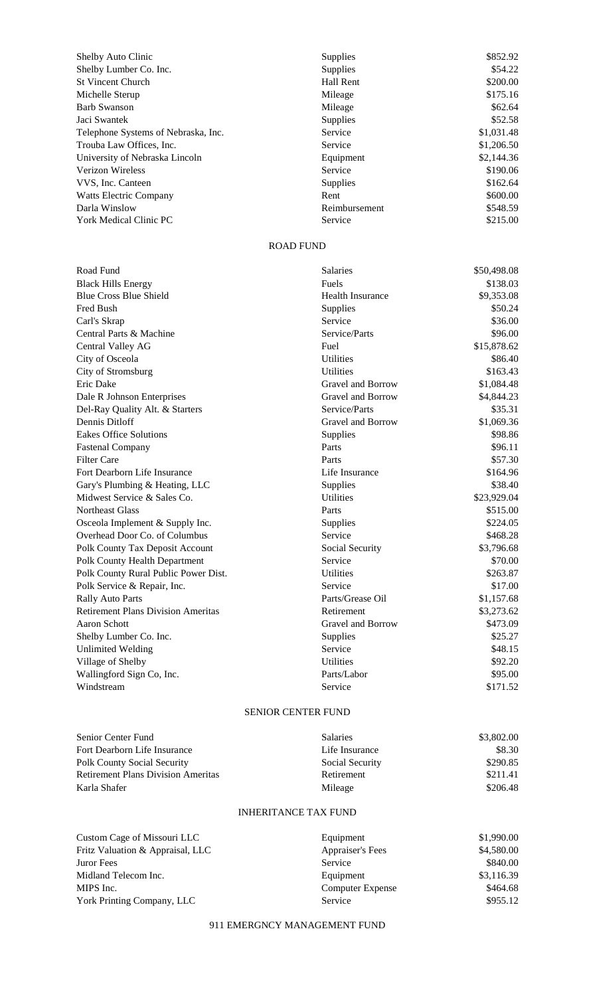| Shelby Auto Clinic                  | <b>Supplies</b>  | \$852.92   |
|-------------------------------------|------------------|------------|
| Shelby Lumber Co. Inc.              | <b>Supplies</b>  | \$54.22    |
| <b>St Vincent Church</b>            | <b>Hall Rent</b> | \$200.00   |
| Michelle Sterup                     | Mileage          | \$175.16   |
| <b>Barb Swanson</b>                 | Mileage          | \$62.64    |
| Jaci Swantek                        | <b>Supplies</b>  | \$52.58    |
| Telephone Systems of Nebraska, Inc. | Service          | \$1,031.48 |
| Trouba Law Offices, Inc.            | Service          | \$1,206.50 |
| University of Nebraska Lincoln      | Equipment        | \$2,144.36 |
| <b>Verizon Wireless</b>             | Service          | \$190.06   |
| VVS, Inc. Canteen                   | Supplies         | \$162.64   |
| Watts Electric Company              | Rent             | \$600.00   |
| Darla Winslow                       | Reimbursement    | \$548.59   |
| <b>York Medical Clinic PC</b>       | Service          | \$215.00   |

## ROAD FUND

| Road Fund                                 | <b>Salaries</b>         | \$50,498.08 |
|-------------------------------------------|-------------------------|-------------|
| <b>Black Hills Energy</b>                 | Fuels                   | \$138.03    |
| <b>Blue Cross Blue Shield</b>             | <b>Health Insurance</b> | \$9,353.08  |
| Fred Bush                                 | Supplies                | \$50.24     |
| Carl's Skrap                              | Service                 | \$36.00     |
| Central Parts & Machine                   | Service/Parts           | \$96.00     |
| <b>Central Valley AG</b>                  | Fuel                    | \$15,878.62 |
| City of Osceola                           | <b>Utilities</b>        | \$86.40     |
| City of Stromsburg                        | <b>Utilities</b>        | \$163.43    |
| Eric Dake                                 | Gravel and Borrow       | \$1,084.48  |
| Dale R Johnson Enterprises                | Gravel and Borrow       | \$4,844.23  |
| Del-Ray Quality Alt. & Starters           | Service/Parts           | \$35.31     |
| Dennis Ditloff                            | Gravel and Borrow       | \$1,069.36  |
| <b>Eakes Office Solutions</b>             | Supplies                | \$98.86     |
| <b>Fastenal Company</b>                   | Parts                   | \$96.11     |
| <b>Filter Care</b>                        | Parts                   | \$57.30     |
| Fort Dearborn Life Insurance              | Life Insurance          | \$164.96    |
| Gary's Plumbing & Heating, LLC            | <b>Supplies</b>         | \$38.40     |
| Midwest Service & Sales Co.               | <b>Utilities</b>        | \$23,929.04 |
| Northeast Glass                           | Parts                   | \$515.00    |
| Osceola Implement & Supply Inc.           | Supplies                | \$224.05    |
| Overhead Door Co. of Columbus             | Service                 | \$468.28    |
| <b>Polk County Tax Deposit Account</b>    | Social Security         | \$3,796.68  |
| Polk County Health Department             | Service                 | \$70.00     |
| Polk County Rural Public Power Dist.      | <b>Utilities</b>        | \$263.87    |
| Polk Service & Repair, Inc.               | Service                 | \$17.00     |
| <b>Rally Auto Parts</b>                   | Parts/Grease Oil        | \$1,157.68  |
| <b>Retirement Plans Division Ameritas</b> | Retirement              | \$3,273.62  |
| Aaron Schott                              | Gravel and Borrow       | \$473.09    |
| Shelby Lumber Co. Inc.                    | <b>Supplies</b>         | \$25.27     |
| <b>Unlimited Welding</b>                  | Service                 | \$48.15     |
| Village of Shelby                         | <b>Utilities</b>        | \$92.20     |
| Wallingford Sign Co, Inc.                 | Parts/Labor             | \$95.00     |
| Windstream                                | Service                 | \$171.52    |
|                                           |                         |             |

# SENIOR CENTER FUND

| Senior Center Fund                        | <b>Salaries</b> | \$3,802.00 |
|-------------------------------------------|-----------------|------------|
| Fort Dearborn Life Insurance              | Life Insurance  | \$8.30     |
| Polk County Social Security               | Social Security | \$290.85   |
| <b>Retirement Plans Division Ameritas</b> | Retirement      | \$211.41   |
| Karla Shafer                              | Mileage         | \$206.48   |

## INHERITANCE TAX FUND

| Custom Cage of Missouri LLC      | Equipment               | \$1,990.00 |
|----------------------------------|-------------------------|------------|
| Fritz Valuation & Appraisal, LLC | <b>Appraiser's Fees</b> | \$4,580.00 |
| Juror Fees                       | Service                 | \$840.00   |
| Midland Telecom Inc.             | Equipment               | \$3,116.39 |
| MIPS Inc.                        | <b>Computer Expense</b> | \$464.68   |
| York Printing Company, LLC       | Service                 | \$955.12   |

## 911 EMERGNCY MANAGEMENT FUND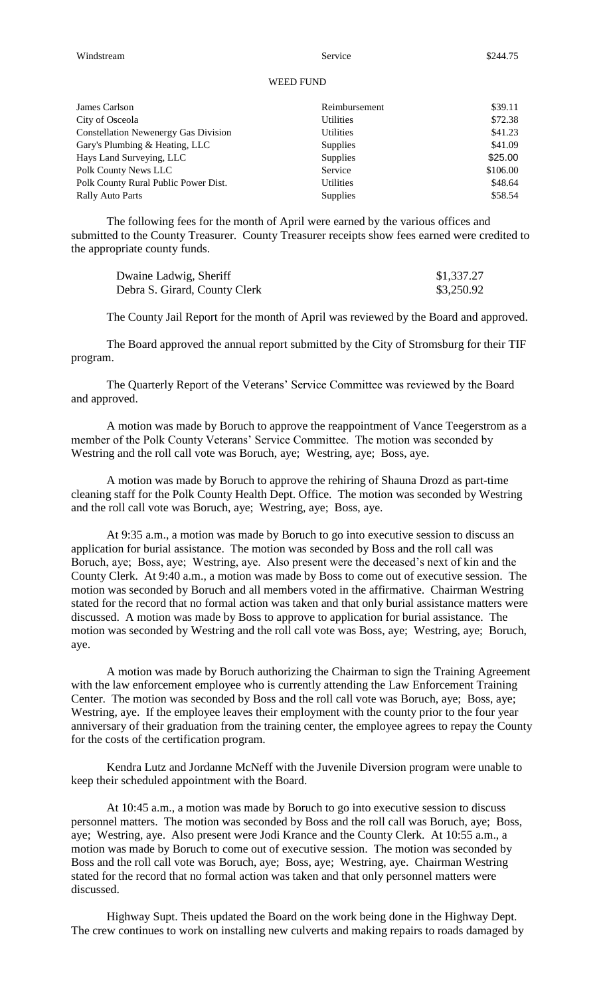#### WEED FUND

| James Carlson                               | Reimbursement    | \$39.11  |
|---------------------------------------------|------------------|----------|
| City of Osceola                             | Utilities        | \$72.38  |
| <b>Constellation Newenergy Gas Division</b> | <b>Utilities</b> | \$41.23  |
| Gary's Plumbing & Heating, LLC              | <b>Supplies</b>  | \$41.09  |
| Hays Land Surveying, LLC                    | <b>Supplies</b>  | \$25.00  |
| Polk County News LLC                        | Service          | \$106.00 |
| Polk County Rural Public Power Dist.        | <b>Utilities</b> | \$48.64  |
| <b>Rally Auto Parts</b>                     | <b>Supplies</b>  | \$58.54  |

The following fees for the month of April were earned by the various offices and submitted to the County Treasurer. County Treasurer receipts show fees earned were credited to the appropriate county funds.

| Dwaine Ladwig, Sheriff        | \$1,337.27 |
|-------------------------------|------------|
| Debra S. Girard, County Clerk | \$3,250.92 |

The County Jail Report for the month of April was reviewed by the Board and approved.

The Board approved the annual report submitted by the City of Stromsburg for their TIF program.

The Quarterly Report of the Veterans' Service Committee was reviewed by the Board and approved.

A motion was made by Boruch to approve the reappointment of Vance Teegerstrom as a member of the Polk County Veterans' Service Committee. The motion was seconded by Westring and the roll call vote was Boruch, aye; Westring, aye; Boss, aye.

A motion was made by Boruch to approve the rehiring of Shauna Drozd as part-time cleaning staff for the Polk County Health Dept. Office. The motion was seconded by Westring and the roll call vote was Boruch, aye; Westring, aye; Boss, aye.

At 9:35 a.m., a motion was made by Boruch to go into executive session to discuss an application for burial assistance. The motion was seconded by Boss and the roll call was Boruch, aye; Boss, aye; Westring, aye. Also present were the deceased's next of kin and the County Clerk. At 9:40 a.m., a motion was made by Boss to come out of executive session. The motion was seconded by Boruch and all members voted in the affirmative. Chairman Westring stated for the record that no formal action was taken and that only burial assistance matters were discussed. A motion was made by Boss to approve to application for burial assistance. The motion was seconded by Westring and the roll call vote was Boss, aye; Westring, aye; Boruch, aye.

A motion was made by Boruch authorizing the Chairman to sign the Training Agreement with the law enforcement employee who is currently attending the Law Enforcement Training Center. The motion was seconded by Boss and the roll call vote was Boruch, aye; Boss, aye; Westring, aye. If the employee leaves their employment with the county prior to the four year anniversary of their graduation from the training center, the employee agrees to repay the County for the costs of the certification program.

Kendra Lutz and Jordanne McNeff with the Juvenile Diversion program were unable to keep their scheduled appointment with the Board.

At 10:45 a.m., a motion was made by Boruch to go into executive session to discuss personnel matters. The motion was seconded by Boss and the roll call was Boruch, aye; Boss, aye; Westring, aye. Also present were Jodi Krance and the County Clerk. At 10:55 a.m., a motion was made by Boruch to come out of executive session. The motion was seconded by Boss and the roll call vote was Boruch, aye; Boss, aye; Westring, aye. Chairman Westring stated for the record that no formal action was taken and that only personnel matters were discussed.

Highway Supt. Theis updated the Board on the work being done in the Highway Dept. The crew continues to work on installing new culverts and making repairs to roads damaged by